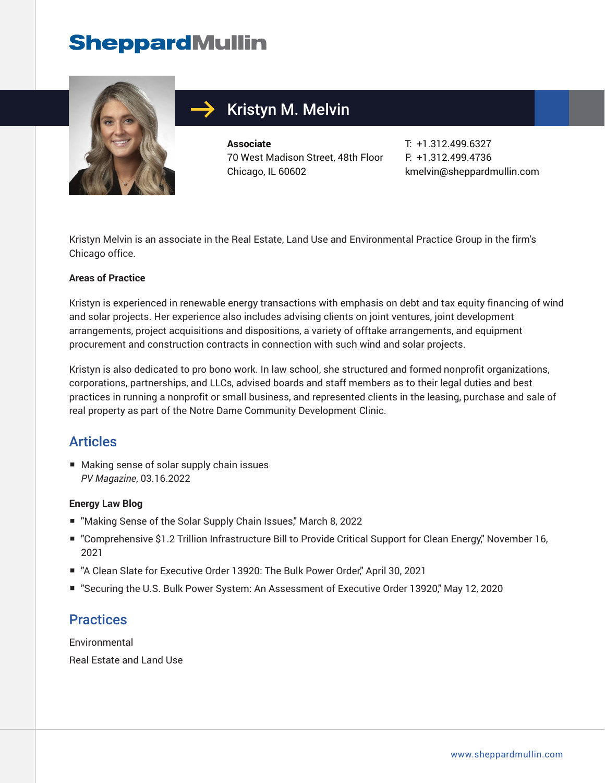## **SheppardMullin**



## Kristyn M. Melvin

**Associate** 70 West Madison Street, 48th Floor Chicago, IL 60602

T: +1.312.499.6327 F: +1.312.499.4736 kmelvin@sheppardmullin.com

Kristyn Melvin is an associate in the Real Estate, Land Use and Environmental Practice Group in the firm's Chicago office.

#### **Areas of Practice**

Kristyn is experienced in renewable energy transactions with emphasis on debt and tax equity financing of wind and solar projects. Her experience also includes advising clients on joint ventures, joint development arrangements, project acquisitions and dispositions, a variety of offtake arrangements, and equipment procurement and construction contracts in connection with such wind and solar projects.

Kristyn is also dedicated to pro bono work. In law school, she structured and formed nonprofit organizations, corporations, partnerships, and LLCs, advised boards and staff members as to their legal duties and best practices in running a nonprofit or small business, and represented clients in the leasing, purchase and sale of real property as part of the Notre Dame Community Development Clinic.

### Articles

■ Making sense of solar supply chain issues *PV Magazine*, 03.16.2022

#### **Energy Law Blog**

- "Making Sense of the Solar Supply Chain Issues," March 8, 2022
- "Comprehensive \$1.2 Trillion Infrastructure Bill to Provide Critical Support for Clean Energy," November 16, 2021
- "A Clean Slate for Executive Order 13920: The Bulk Power Order," April 30, 2021
- "Securing the U.S. Bulk Power System: An Assessment of Executive Order 13920," May 12, 2020

### **Practices**

Environmental Real Estate and Land Use